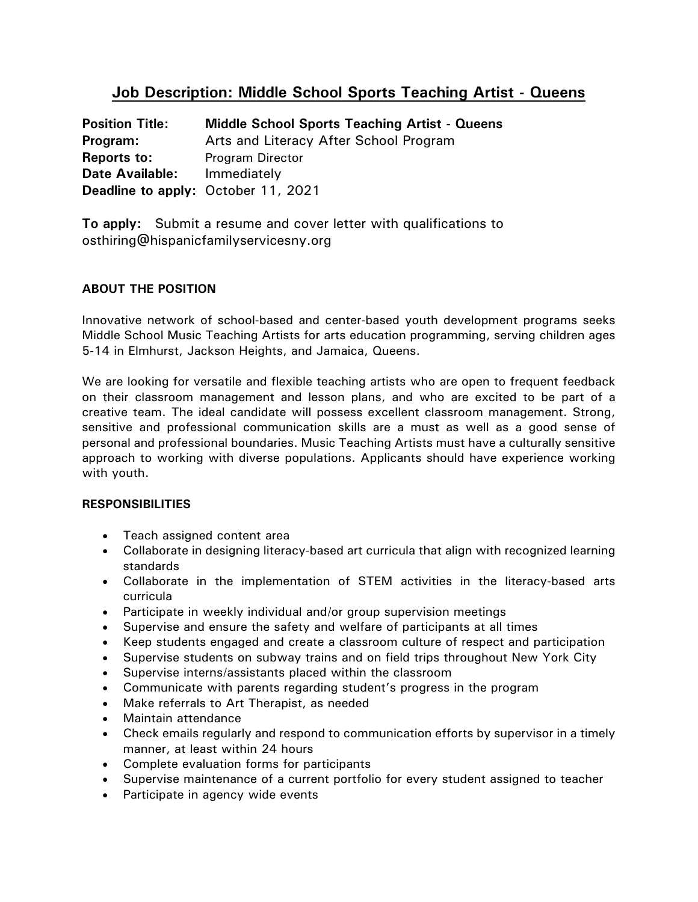# **Job Description: Middle School Sports Teaching Artist - Queens**

| <b>Position Title:</b> | <b>Middle School Sports Teaching Artist - Queens</b> |
|------------------------|------------------------------------------------------|
| Program:               | Arts and Literacy After School Program               |
| <b>Reports to:</b>     | <b>Program Director</b>                              |
| <b>Date Available:</b> | Immediately                                          |
|                        | Deadline to apply: October 11, 2021                  |

**To apply:** Submit a resume and cover letter with qualifications to osthiring@hispanicfamilyservicesny.org

## **ABOUT THE POSITION**

Innovative network of school-based and center-based youth development programs seeks Middle School Music Teaching Artists for arts education programming, serving children ages 5-14 in Elmhurst, Jackson Heights, and Jamaica, Queens.

We are looking for versatile and flexible teaching artists who are open to frequent feedback on their classroom management and lesson plans, and who are excited to be part of a creative team. The ideal candidate will possess excellent classroom management. Strong, sensitive and professional communication skills are a must as well as a good sense of personal and professional boundaries. Music Teaching Artists must have a culturally sensitive approach to working with diverse populations. Applicants should have experience working with youth.

### **RESPONSIBILITIES**

- Teach assigned content area
- Collaborate in designing literacy-based art curricula that align with recognized learning standards
- Collaborate in the implementation of STEM activities in the literacy-based arts curricula
- Participate in weekly individual and/or group supervision meetings
- Supervise and ensure the safety and welfare of participants at all times
- Keep students engaged and create a classroom culture of respect and participation
- Supervise students on subway trains and on field trips throughout New York City
- Supervise interns/assistants placed within the classroom
- Communicate with parents regarding student's progress in the program
- Make referrals to Art Therapist, as needed
- Maintain attendance
- Check emails regularly and respond to communication efforts by supervisor in a timely manner, at least within 24 hours
- Complete evaluation forms for participants
- Supervise maintenance of a current portfolio for every student assigned to teacher
- Participate in agency wide events